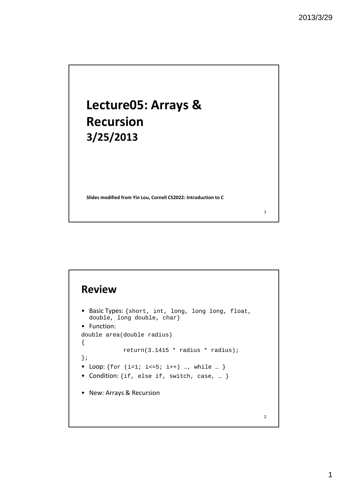1

2

# **Lecture05: Arrays & Recursion 3/25/2013**

**Slides modified from Yin Lou, Cornell CS2022: Introduction to C**

#### **Review**

```
• Basic Types: {short, int, long, long long, float, 
  double, long double, char}
• Function:
double area(double radius)
{
             return(3.1415 * radius * radius);
};
• Loop: \{ \text{for } (i=1; i<=5; i++) ..., while ... }
• Condition: {if, else if, switch, case, … }
• New: Arrays & Recursion
```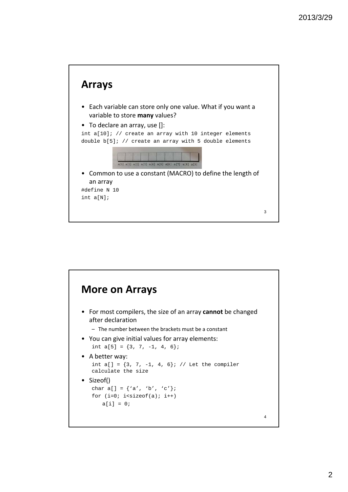

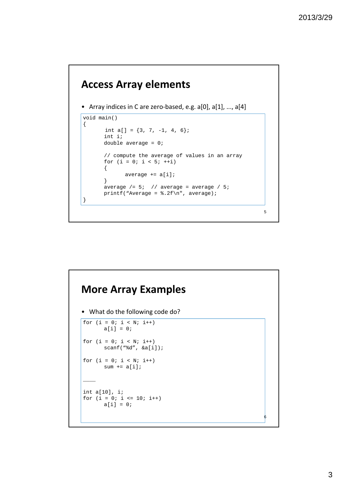5

#### **Access Array elements**

• Array indices in C are zero-based, e.g. a[0], a[1], ..., a[4]

```
void main()
{
      int a[] = \{3, 7, -1, 4, 6\};
      int i;
      double average = 0;
      // compute the average of values in an array
      for (i = 0; i < 5; ++i){
             average += a[i];
      }
      average /= 5; // average = average / 5;
      printf("Average = .2f\n", average);
}
```
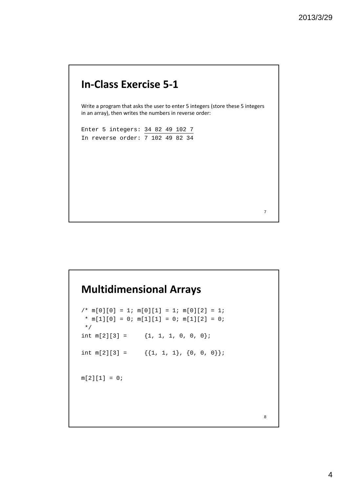## **In‐Class Exercise 5‐1**

Write a program that asks the user to enter 5 integers (store these 5 integers in an array), then writes the numbers in reverse order:

```
Enter 5 integers: 34 82 49 102 7
In reverse order: 7 102 49 82 34
```
7

8

# **Multidimensional Arrays**

```
/* m[0][0] = 1; m[0][1] = 1; m[0][2] = 1;* m[1][0] = 0; m[1][1] = 0; m[1][2] = 0;
 */
int m[2][3] = \{1, 1, 1, 0, 0, 0\};int m[2][3] = {1, 1, 1}, {0, 0, 0}m[2][1] = 0;
```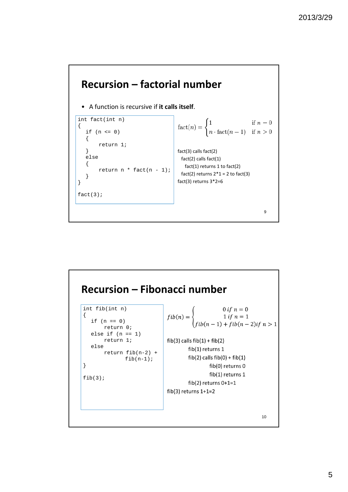

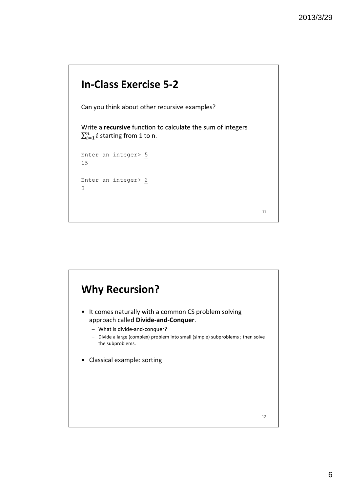11

# **In‐Class Exercise 5‐2**

Can you think about other recursive examples?

Write a recursive function to calculate the sum of integers  $\sum_{i=1}^{n} i$  starting from 1 to n.

```
Enter an integer> 515
Enter an integer> 2
\mathcal{S}
```
**Why Recursion?** • It comes naturally with a common CS problem solving approach called **Divide‐and‐Conquer**. – What is divide‐and‐conquer? – Divide a large (complex) problem into small (simple) subproblems ; then solve the subproblems. • Classical example: sorting 12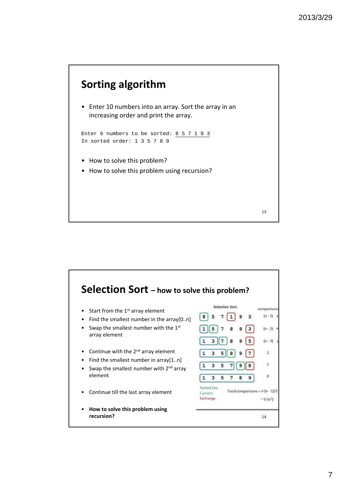## **Sorting algorithm**

• Enter 10 numbers into an array. Sort the array in an increasing order and print the array.

```
Enter 6 numbers to be sorted: 8 5 7 1 9 3
In sorted order: 1 3 5 7 8 9
```
- How to solve this problem?
- How to solve this problem using recursion?



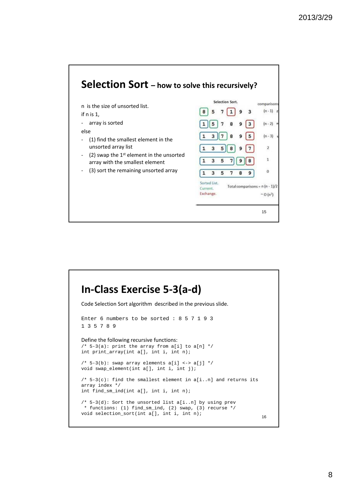